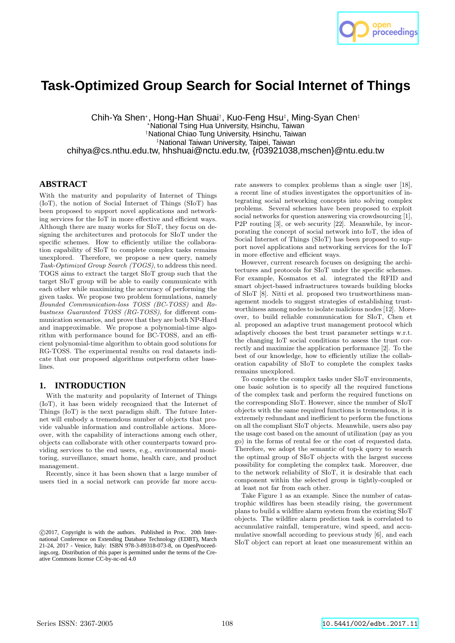

# **Task-Optimized Group Search for Social Internet of Things**

Chih-Ya Shen\*, Hong-Han Shuai<sup>†</sup>, Kuo-Feng Hsu‡, Ming-Syan Chen‡ <sup>⋆</sup>National Tsing Hua University, Hsinchu, Taiwan †National Chiao Tung University, Hsinchu, Taiwan ‡National Taiwan University, Taipei, Taiwan chihya@cs.nthu.edu.tw, hhshuai@nctu.edu.tw, {r03921038,mschen}@ntu.edu.tw

## **ABSTRACT**

With the maturity and popularity of Internet of Things (IoT), the notion of Social Internet of Things (SIoT) has been proposed to support novel applications and networking services for the IoT in more effective and efficient ways. Although there are many works for SIoT, they focus on designing the architectures and protocols for SIoT under the specific schemes. How to efficiently utilize the collaboration capability of SIoT to complete complex tasks remains unexplored. Therefore, we propose a new query, namely *Task-Optimized Group Search (TOGS)*, to address this need. TOGS aims to extract the target SIoT group such that the target SIoT group will be able to easily communicate with each other while maximizing the accuracy of performing the given tasks. We propose two problem formulations, namely *Bounded Communication-loss TOSS (BC-TOSS)* and *Robustness Guaranteed TOSS (RG-TOSS)*, for different communication scenarios, and prove that they are both NP-Hard and inapproximable. We propose a polynomial-time algorithm with performance bound for BC-TOSS, and an efficient polynomial-time algorithm to obtain good solutions for RG-TOSS. The experimental results on real datasets indicate that our proposed algorithms outperform other baselines.

## **1. INTRODUCTION**

With the maturity and popularity of Internet of Things (IoT), it has been widely recognized that the Internet of Things (IoT) is the next paradigm shift. The future Internet will embody a tremendous number of objects that provide valuable information and controllable actions. Moreover, with the capability of interactions among each other, objects can collaborate with other counterparts toward providing services to the end users, e.g., environmental monitoring, surveillance, smart home, health care, and product management.

Recently, since it has been shown that a large number of users tied in a social network can provide far more accurate answers to complex problems than a single user [18], a recent line of studies investigates the opportunities of integrating social networking concepts into solving complex problems. Several schemes have been proposed to exploit social networks for question answering via crowdsourcing [1], P2P routing [3], or web security [22]. Meanwhile, by incorporating the concept of social network into IoT, the idea of Social Internet of Things (SIoT) has been proposed to support novel applications and networking services for the IoT in more effective and efficient ways.

However, current research focuses on designing the architectures and protocols for SIoT under the specific schemes. For example, Kosmatos et al. integrated the RFID and smart object-based infrastructures towards building blocks of SIoT [8]. Nitti et al. proposed two trustworthiness management models to suggest strategies of establishing trustworthiness among nodes to isolate malicious nodes [12]. Moreover, to build reliable communication for SIoT, Chen et al. proposed an adaptive trust management protocol which adaptively chooses the best trust parameter settings w.r.t. the changing IoT social conditions to assess the trust correctly and maximize the application performance [2]. To the best of our knowledge, how to efficiently utilize the collaboration capability of SIoT to complete the complex tasks remains unexplored.

To complete the complex tasks under SIoT environments, one basic solution is to specify all the required functions of the complex task and perform the required functions on the corresponding SIoT. However, since the number of SIoT objects with the same required functions is tremendous, it is extremely redundant and inefficient to perform the functions on all the compliant SIoT objects. Meanwhile, users also pay the usage cost based on the amount of utilization (pay as you go) in the forms of rental fee or the cost of requested data. Therefore, we adopt the semantic of top-k query to search the optimal group of SIoT objects with the largest success possibility for completing the complex task. Moreover, due to the network reliability of SIoT, it is desirable that each component within the selected group is tightly-coupled or at least not far from each other.

Take Figure 1 as an example. Since the number of catastrophic wildfires has been steadily rising, the government plans to build a wildfire alarm system from the existing SIoT objects. The wildfire alarm prediction task is correlated to accumulative rainfall, temperature, wind speed, and accumulative snowfall according to previous study [6], and each SIoT object can report at least one measurement within an

c 2017, Copyright is with the authors. Published in Proc. 20th International Conference on Extending Database Technology (EDBT), March 21-24, 2017 - Venice, Italy: ISBN 978-3-89318-073-8, on OpenProceedings.org. Distribution of this paper is permitted under the terms of the Creative Commons license CC-by-nc-nd 4.0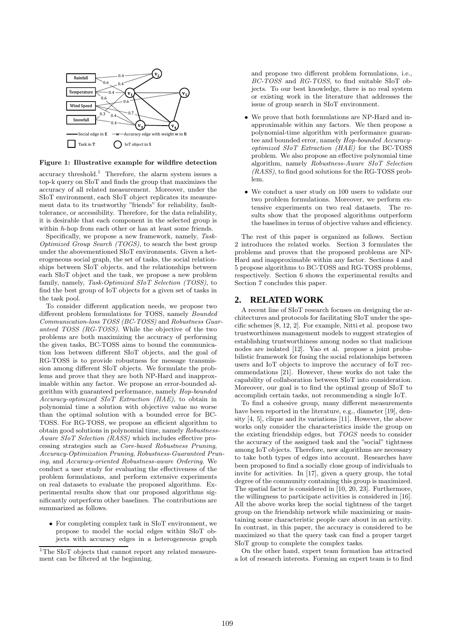

#### Figure 1: Illustrative example for wildfire detection

accuracy threshold.<sup>1</sup> Therefore, the alarm system issues a top-k query on SIoT and finds the group that maximizes the accuracy of all related measurement. Moreover, under the SIoT environment, each SIoT object replicates its measurement data to its trustworthy "friends" for reliability, faulttolerance, or accessibility. Therefore, for the data reliability, it is desirable that each component in the selected group is within h-hop from each other or has at least some friends.

Specifically, we propose a new framework, namely, *Task-Optimized Group Search (TOGS)*, to search the best group under the abovementioned SIoT environments. Given a heterogeneous social graph, the set of tasks, the social relationships between SIoT objects, and the relationships between each SIoT object and the task, we propose a new problem family, namely, *Task-Optimized SIoT Selection (TOSS)*, to find the best group of IoT objects for a given set of tasks in the task pool.

To consider different application needs, we propose two different problem formulations for TOSS, namely *Bounded Communication-loss TOSS (BC-TOSS)* and *Robustness Guaranteed TOSS (RG-TOSS)*. While the objective of the two problems are both maximizing the accuracy of performing the given tasks, BC-TOSS aims to bound the communication loss between different SIoT objects, and the goal of RG-TOSS is to provide robustness for message transmission among different SIoT objects. We formulate the problems and prove that they are both NP-Hard and inapproximable within any factor. We propose an error-bounded algorithm with guaranteed performance, namely *Hop-bounded Accuracy-optimized SIoT Extraction (HAE)*, to obtain in polynomial time a solution with objective value no worse than the optimal solution with a bounded error for BC-TOSS. For RG-TOSS, we propose an efficient algorithm to obtain good solutions in polynomial time, namely *Robustness-Aware SIoT Selection (RASS)* which includes effective processing strategies such as *Core-based Robustness Pruning*, *Accuracy-Optimization Pruning*, *Robustness-Guaranteed Pruning*, and *Accuracy-oriented Robustness-aware Ordering*. We conduct a user study for evaluating the effectiveness of the problem formulations, and perform extensive experiments on real datasets to evaluate the proposed algorithms. Experimental results show that our proposed algorithms significantly outperform other baselines. The contributions are summarized as follows.

• For completing complex task in SIoT environment, we propose to model the social edges within SIoT objects with accuracy edges in a heterogeneous graph

and propose two different problem formulations, i.e., *BC-TOSS* and *RG-TOSS*, to find suitable SIoT objects. To our best knowledge, there is no real system or existing work in the literature that addresses the issue of group search in SIoT environment.

- We prove that both formulations are NP-Hard and inapproximable within any factors. We then propose a polynomial-time algorithm with performance guarantee and bounded error, namely *Hop-bounded Accuracyoptimized SIoT Extraction (HAE)* for the BC-TOSS problem. We also propose an effective polynomial time algorithm, namely *Robustness-Aware SIoT Selection (RASS)*, to find good solutions for the RG-TOSS problem.
- We conduct a user study on 100 users to validate our two problem formulations. Moreover, we perform extensive experiments on two real datasets. The results show that the proposed algorithms outperform the baselines in terms of objective values and efficiency.

The rest of this paper is organized as follows. Section 2 introduces the related works. Section 3 formulates the problems and proves that the proposed problems are NP-Hard and inapproximable within any factor. Sections 4 and 5 propose algorithms to BC-TOSS and RG-TOSS problems, respectively. Section 6 shows the experimental results and Section 7 concludes this paper.

## **2. RELATED WORK**

A recent line of SIoT research focuses on designing the architectures and protocols for facilitating SIoT under the specific schemes [8, 12, 2]. For example, Nitti et al. propose two trustworthiness management models to suggest strategies of establishing trustworthiness among nodes so that malicious nodes are isolated [12]. Yao et al. propose a joint probabilistic framework for fusing the social relationships between users and IoT objects to improve the accuracy of IoT recommendations [21]. However, these works do not take the capability of collaboration between SIoT into consideration. Moreover, our goal is to find the optimal group of SIoT to accomplish certain tasks, not recommending a single IoT.

To find a cohesive group, many different measurements have been reported in the literature, e.g., diameter [19], density [4, 5], clique and its variations [11]. However, the above works only consider the characteristics inside the group on the existing friendship edges, but *TOGS* needs to consider the accuracy of the assigned task and the "social" tightness among IoT objects. Therefore, new algorithms are necessary to take both types of edges into account. Researches have been proposed to find a socially close group of individuals to invite for activities. In [17], given a query group, the total degree of the community containing this group is maximized. The spatial factor is considered in [10, 20, 23]. Furthermore, the willingness to participate activities is considered in [16]. All the above works keep the social tightness of the target group on the friendship network while maximizing or maintaining some characteristic people care about in an activity. In contrast, in this paper, the accuracy is considered to be maximized so that the query task can find a proper target SIoT group to complete the complex tasks.

On the other hand, expert team formation has attracted a lot of research interests. Forming an expert team is to find

 $\rm ^1The$  SIoT objects that cannot report any related measurement can be filtered at the beginning.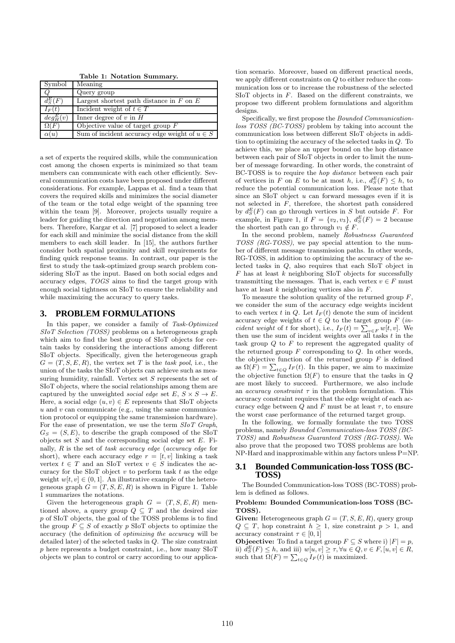Table 1: Notation Summary.

| Symbol       | Meaning                                           |
|--------------|---------------------------------------------------|
| Q            | Query group                                       |
| $d_S^E(F)$   | Largest shortest path distance in $F$ on $E$      |
| $I_F(t)$     | Incident weight of $t \in T$                      |
| $deg_H^E(v)$ | Inner degree of $v$ in $H$                        |
| SL(F)        | Objective value of target group $F$               |
| $\alpha(u)$  | Sum of incident accuracy edge weight of $u \in S$ |

a set of experts the required skills, while the communication cost among the chosen experts is minimized so that team members can communicate with each other efficiently. Several communication costs have been proposed under different considerations. For example, Lappas et al. find a team that covers the required skills and minimizes the social diameter of the team or the total edge weight of the spanning tree within the team [9]. Moreover, projects usually require a leader for guiding the direction and negotiation among members. Therefore, Kargar et al. [7] proposed to select a leader for each skill and minimize the social distance from the skill members to each skill leader. In [15], the authors further consider both spatial proximity and skill requirements for finding quick response teams. In contrast, our paper is the first to study the task-optimized group search problem considering SIoT as the input. Based on both social edges and accuracy edges, *TOGS* aims to find the target group with enough social tightness on SIoT to ensure the reliability and while maximizing the accuracy to query tasks.

## **3. PROBLEM FORMULATIONS**

In this paper, we consider a family of *Task-Optimized SIoT Selection (TOSS)* problems on a heterogeneous graph which aim to find the best group of SIoT objects for certain tasks by considering the interactions among different SIoT objects. Specifically, given the heterogeneous graph  $G = (T, S, E, R)$ , the vertex set T is the *task pool*, i.e., the union of the tasks the SIoT objects can achieve such as measuring humidity, rainfall. Vertex set  $S$  represents the set of SIoT objects, where the social relationships among them are captured by the unweighted *social edge* set  $E, S \times S \rightarrow E$ . Here, a social edge  $(u, v) \in E$  represents that SIoT objects  $u$  and  $v$  can communicate (e.g., using the same communication protocol or equipping the same transmission hardware). For the ease of presentation, we use the term *SIoT Graph*,  $G_S = (S, E)$ , to describe the graph composed of the SIoT objects set  $S$  and the corresponding social edge set  $E$ . Finally, R is the set of *task accuracy edge* (*accuracy edge* for short), where each accuracy edge  $r = [t, v]$  linking a task vertex  $t \in T$  and an SIoT vertex  $v \in S$  indicates the accuracy for the SIoT object  $v$  to perform task  $t$  as the edge weight  $w[t, v] \in (0, 1]$ . An illustrative example of the heterogeneous graph  $G = (T, S, E, R)$  is shown in Figure 1. Table 1 summarizes the notations.

Given the heterogeneous graph  $G = (T, S, E, R)$  mentioned above, a query group  $Q \subseteq T$  and the desired size p of SIoT objects, the goal of the TOSS problems is to find the group  $F \subseteq S$  of exactly p SIoT objects to optimize the accuracy (the definition of *optimizing the accuracy* will be detailed later) of the selected tasks in Q. The size constraint p here represents a budget constraint, i.e., how many SIoT objects we plan to control or carry according to our application scenario. Moreover, based on different practical needs, we apply different constraints on Q to either reduce the communication loss or to increase the robustness of the selected  $SIOT$  objects in  $F$ . Based on the different constraints, we propose two different problem formulations and algorithm designs.

Specifically, we first propose the *Bounded Communicationloss TOSS (BC-TOSS)* problem by taking into account the communication loss between different SIoT objects in addition to optimizing the accuracy of the selected tasks in Q. To achieve this, we place an upper bound on the hop distance between each pair of SIoT objects in order to limit the number of message forwarding. In other words, the constraint of BC-TOSS is to require the *hop distance* between each pair of vertices in F on E to be at most h, i.e.,  $d_S^E(F) \leq h$ , to reduce the potential communication loss. Please note that since an SIoT object u can forward messages even if it is not selected in  $\overline{F}$ , therefore, the shortest path considered by  $d_S^E(F)$  can go through vertices in S but outside F. For example, in Figure 1, if  $F = \{v_2, v_3\}, d_S^E(F) = 2$  because the shortest path can go through  $v_1 \notin F$ .

In the second problem, namely *Robustness Guaranteed TOSS (RG-TOSS)*, we pay special attention to the number of different message transmission paths. In other words, RG-TOSS, in addition to optimizing the accuracy of the selected tasks in Q, also requires that each SIoT object in  $F$  has at least  $k$  neighboring SIoT objects for successfully transmitting the messages. That is, each vertex  $v \in F$  must have at least  $k$  neighboring vertices also in  $F$ .

To measure the solution quality of the returned group  $F$ , we consider the sum of the accuracy edge weights incident to each vertex t in Q. Let  $I_F(t)$  denote the sum of incident accuracy edge weights of  $t \in Q$  to the target group  $F$  (*incident weight* of t for short), i.e.,  $I_F(t) = \sum_{v \in F} w[t, v]$ . We then use the sum of incident weights over all tasks  $t$  in the task group  $Q$  to  $F$  to represent the aggregated quality of the returned group  $F$  corresponding to  $Q$ . In other words, the objective function of the returned group  $F$  is defined as  $\Omega(F) = \sum_{t \in Q} I_F(t)$ . In this paper, we aim to maximize the objective function  $\Omega(F)$  to ensure that the tasks in Q are most likely to succeed. Furthermore, we also include an *accuracy constraint*  $\tau$  in the problem formulation. This accuracy constraint requires that the edge weight of each accuracy edge between  $Q$  and  $F$  must be at least  $\tau$ , to ensure the worst case performance of the returned target group.

In the following, we formally formulate the two TOSS problems, namely *Bounded Communication-loss TOSS (BC-TOSS)* and *Robustness Guaranteed TOSS (RG-TOSS)*. We also prove that the proposed two TOSS problems are both NP-Hard and inapproximable within any factors unless P=NP.

## **3.1 Bounded Communication-loss TOSS (BC-TOSS)**

The Bounded Communication-loss TOSS (BC-TOSS) problem is defined as follows.

#### Problem: Bounded Communication-loss TOSS (BC-TOSS).

Given: Heterogeneous graph  $G = (T, S, E, R)$ , query group  $Q \subseteq T$ , hop constraint  $h \geq 1$ , size constraint  $p > 1$ , and accuracy constraint  $\tau \in [0,1]$ 

**Objective:** To find a target group  $F \subseteq S$  where i)  $|F| = p$ , ii)  $d_S^E(F) \leq h$ , and iii)  $w[u, v] \geq \tau, \forall u \in Q, v \in F, [u, v] \in R$ , such that  $\overline{\Omega}(F) = \sum_{t \in Q} I_F(t)$  is maximized.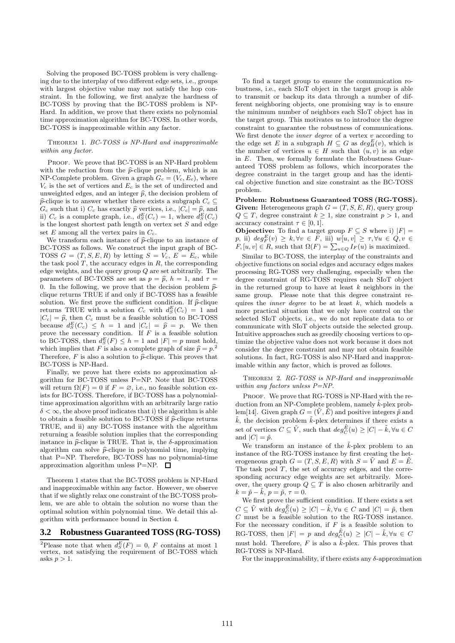Solving the proposed BC-TOSS problem is very challenging due to the interplay of two different edge sets, i.e., groups with largest objective value may not satisfy the hop constraint. In the following, we first analyze the hardness of BC-TOSS by proving that the BC-TOSS problem is NP-Hard. In addition, we prove that there exists no polynomial time approximation algorithm for BC-TOSS. In other words, BC-TOSS is inapproximable within any factor.

Theorem 1. *BC-TOSS is NP-Hard and inapproximable within any factor.*

PROOF. We prove that BC-TOSS is an NP-Hard problem with the reduction from the  $\hat{p}$ -clique problem, which is an NP-Complete problem. Given a graph  $G_c = (V_c, E_c)$ , where  $V_c$  is the set of vertices and  $E_c$  is the set of undirected and unweighted edges, and an integer  $\hat{p}$ , the decision problem of  $\hat{p}$ -clique is to answer whether there exists a subgraph  $C_c \subset$  $G_c$  such that i)  $C_c$  has exactly  $\hat{p}$  vertices, i.e.,  $|C_c| = \hat{p}$ , and ii)  $C_c$  is a complete graph, i.e.,  $d_S^E(C_c) = 1$ , where  $d_S^E(C_c)$ is the longest shortest path length on vertex set  $S$  and edge set  $E$  among all the vertex pairs in  $C_c$ .

We transform each instance of  $\hat{p}$ -clique to an instance of BC-TOSS as follows. We construct the input graph of BC-TOSS  $G = (T, S, E, R)$  by letting  $S = V_c$ ,  $E = E_c$ , while the task pool  $T$ , the accuracy edges in  $R$ , the corresponding edge weights, and the query group  $Q$  are set arbitrarily. The parameters of BC-TOSS are set as  $p = \hat{p}$ ,  $h = 1$ , and  $\tau =$ 0. In the following, we prove that the decision problem  $\hat{p}$ clique returns TRUE if and only if BC-TOSS has a feasible solution. We first prove the sufficient condition. If  $\hat{p}$ -clique returns TRUE with a solution  $C_c$  with  $d_S^E(C_c) = 1$  and  $|C_c| = \hat{p}$ , then  $C_c$  must be a feasible solution to BC-TOSS because  $d_S^E(C_c) \leq h = 1$  and  $|C_c| = \hat{p} = p$ . We then prove the necessary condition. If  $\overline{F}$  is a feasible solution to BC-TOSS, then  $d_S^E(F) \leq h = 1$  and  $|F| = p$  must hold, which implies that F is also a complete graph of size  $\hat{p} = p^2$ . Therefore,  $F$  is also a solution to  $\hat{p}$ -clique. This proves that BC-TOSS is NP-Hard.

Finally, we prove hat there exists no approximation algorithm for BC-TOSS unless P=NP. Note that BC-TOSS will return  $\Omega(F) = 0$  if  $F = \emptyset$ , i.e., no feasible solution exists for BC-TOSS. Therefore, if BC-TOSS has a polynomialtime approximation algorithm with an arbitrarily large ratio  $\delta < \infty$ , the above proof indicates that i) the algorithm is able to obtain a feasible solution to BC-TOSS if  $\hat{p}$ -clique returns TRUE, and ii) any BC-TOSS instance with the algorithm returning a feasible solution implies that the corresponding instance in  $\hat{p}$ -clique is TRUE. That is, the  $\delta$ -approximation algorithm can solve  $\hat{p}$ -clique in polynomial time, implying that P=NP. Therefore, BC-TOSS has no polynomial-time approximation algorithm unless P=NP.  $\Box$ 

Theorem 1 states that the BC-TOSS problem is NP-Hard and inapproximable within any factor. However, we observe that if we slightly relax one constraint of the BC-TOSS problem, we are able to obtain the solution no worse than the optimal solution within polynomial time. We detail this algorithm with performance bound in Section 4.

#### **3.2 Robustness Guaranteed TOSS (RG-TOSS)**

<sup>2</sup>Please note that when  $d_S^E(F) = 0$ , F contains at most 1 vertex, not satisfying the requirement of BC-TOSS which asks  $p > 1$ .

To find a target group to ensure the communication robustness, i.e., each SIoT object in the target group is able to transmit or backup its data through a number of different neighboring objects, one promising way is to ensure the minimum number of neighbors each SIoT object has in the target group. This motivates us to introduce the degree constraint to guarantee the robustness of communications. We first denote the *inner degree* of a vertex v according to the edge set E in a subgraph  $H \subseteq G$  as  $deg_H^E(v)$ , which is the number of vertices  $u \in H$  such that  $(u, v)$  is an edge in E. Then, we formally formulate the Robustness Guaranteed TOSS problem as follows, which incorporates the degree constraint in the target group and has the identical objective function and size constraint as the BC-TOSS problem.

Problem: Robustness Guaranteed TOSS (RG-TOSS). Given: Heterogeneous graph  $G = (T, S, E, R)$ , query group  $Q \subseteq T$ , degree constraint  $k \geq 1$ , size constraint  $p > 1$ , and accuracy constraint  $\tau \in [0, 1]$ .

**Objective:** To find a target group  $F \subseteq S$  where i)  $|F| =$ p, ii)  $deg_F^E(v) \ge k, \forall v \in F$ , iii)  $w[u, v] \ge \tau, \forall u \in Q, v \in F$ ,  $[u, v] \in R$ , such that  $\Omega(F) = \sum_{u \in Q} I_F(u)$  is maximized.

Similar to BC-TOSS, the interplay of the constraints and objective functions on social edges and accuracy edges makes processing RG-TOSS very challenging, especially when the degree constraint of RG-TOSS requires each SIoT object in the returned group to have at least  $k$  neighbors in the same group. Please note that this degree constraint requires the *inner degree* to be at least k, which models a more practical situation that we only have control on the selected SIoT objects, i.e., we do not replicate data to or communicate with SIoT objects outside the selected group. Intuitive approaches such as greedily choosing vertices to optimize the objective value does not work because it does not consider the degree constraint and may not obtain feasible solutions. In fact, RG-TOSS is also NP-Hard and inapproximable within any factor, which is proved as follows.

Theorem 2. *RG-TOSS is NP-Hard and inapproximable within any factors unless P=NP.*

PROOF. We prove that RG-TOSS is NP-Hard with the reduction from an NP-Complete problem, namely  $\tilde{k}$ -plex problem[14]. Given graph  $G = (\tilde{V}, \tilde{E})$  and positive integers  $\tilde{p}$  and  $\tilde{k}$ , the decision problem  $\tilde{k}$ -plex determines if there exists a set of vertices  $C \subseteq \tilde{V}$ , such that  $deg_{\tilde{C}}^{\tilde{E}}(u) \geq |C| - \tilde{k}$ ,  $\forall u \in C$ and  $|C| = \tilde{p}$ .

We transform an instance of the  $\tilde{k}$ -plex problem to an instance of the RG-TOSS instance by first creating the heterogeneous graph  $G = (T, S, E, R)$  with  $S = \tilde{V}$  and  $E = \tilde{E}$ . The task pool  $T$ , the set of accuracy edges, and the corresponding accuracy edge weights are set arbitrarily. Moreover, the query group  $Q \subseteq T$  is also chosen arbitrarily and  $k = \tilde{p} - \tilde{k}, \ p = \tilde{p}, \ \tau = 0.$ 

We first prove the sufficient condition. If there exists a set  $C \subseteq \tilde{V}$  with  $deg_{\tilde{C}}^{\tilde{E}}(u) \geq |C| - \tilde{k}, \forall u \in C$  and  $|C| = \tilde{p}$ , then  $C$  must be a feasible solution to the RG-TOSS instance. For the necessary condition, if  $F$  is a feasible solution to RG-TOSS, then  $|F| = p$  and  $deg_{\tilde{C}}^{\tilde{E}}(u) \geq |C| - \tilde{k}, \forall u \in C$ must hold. Therefore,  $F$  is also a  $\tilde{k}$ -plex. This proves that RG-TOSS is NP-Hard.

For the inapproximability, if there exists any  $\delta$ -approximation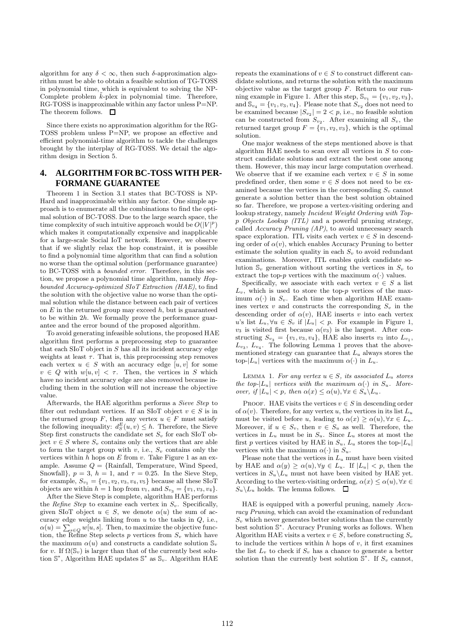algorithm for any  $\delta < \infty$ , then such  $\delta$ -approximation algorithm must be able to obtain a feasible solution of TG-TOSS in polynomial time, which is equivalent to solving the NP-Complete problem  $\tilde{k}$ -plex in polynomial time. Therefore, RG-TOSS is inapproximable within any factor unless P=NP. The theorem follows.  $\quad \Box$ 

Since there exists no approximation algorithm for the RG-TOSS problem unless P=NP, we propose an effective and efficient polynomial-time algorithm to tackle the challenges brought by the interplay of RG-TOSS. We detail the algorithm design in Section 5.

# **4. ALGORITHM FOR BC-TOSS WITH PER-FORMANE GUARANTEE**

Theorem 1 in Section 3.1 states that BC-TOSS is NP-Hard and inapproximable within any factor. One simple approach is to enumerate all the combinations to find the optimal solution of BC-TOSS. Due to the large search space, the time complexity of such intuitive approach would be  $O(|V|^p)$ which makes it computationally expensive and inapplicable for a large-scale Social IoT network. However, we observe that if we slightly relax the hop constraint, it is possible to find a polynomial time algorithm that can find a solution no worse than the optimal solution (performance guarantee) to BC-TOSS with a *bounded error*. Therefore, in this section, we propose a polynomial time algorithm, namely *Hopbounded Accuracy-optimized SIoT Extraction (HAE)*, to find the solution with the objective value no worse than the optimal solution while the distance between each pair of vertices on  $E$  in the returned group may exceed  $h$ , but is guaranteed to be within 2h. We formally prove the performance guarantee and the error bound of the proposed algorithm.

To avoid generating infeasible solutions, the proposed HAE algorithm first performs a preprocessing step to guarantee that each  $SIOT$  object in  $S$  has all its incident accuracy edge weights at least  $\tau$ . That is, this preprocessing step removes each vertex  $u \in S$  with an accuracy edge  $[u, v]$  for some  $v \in Q$  with  $w[u, v] < \tau$ . Then, the vertices in S which have no incident accuracy edge are also removed because including them in the solution will not increase the objective value.

Afterwards, the HAE algorithm performs a *Sieve Step* to filter out redundant vertices. If an SIoT object  $v \in S$  is in the returned group F, then any vertex  $u \in F$  must satisfy the following inequality:  $d_S^E(u, v) \leq h$ . Therefore, the Sieve Step first constructs the candidate set  $S_v$  for each SIoT object  $v \in S$  where  $S_v$  contains only the vertices that are able to form the target group with v, i.e.,  $S_v$  contains only the vertices within  $h$  hops on  $E$  from  $v$ . Take Figure 1 as an example. Assume  $Q = \{Rainfall, Temperature, Wind Speed,$ Snowfall,  $p = 3$ ,  $h = 1$ , and  $\tau = 0.25$ . In the Sieve Step, for example,  $S_{v_1} = \{v_1, v_2, v_3, v_4, v_5\}$  because all these SIoT objects are within  $h = 1$  hop from  $v_1$ , and  $S_{v_3} = \{v_1, v_3, v_4\}.$ 

After the Sieve Step is complete, algorithm HAE performs the *Refine Step* to examine each vertex in  $S_v$ . Specifically, given SIoT object  $u \in S$ , we denote  $\alpha(u)$  the sum of accuracy edge weights linking from  $u$  to the tasks in  $Q$ , i.e.,  $\alpha(u) = \sum_{s \in Q} w[u, s]$ . Then, to maximize the objective function, the Refine Step selects p vertices from  $S_v$  which have the maximum  $\alpha(u)$  and constructs a candidate solution  $\mathbb{S}_v$ for v. If  $\Omega(\mathbb{S}_v)$  is larger than that of the currently best solution  $\mathbb{S}^*$ , Algorithm HAE updates  $\mathbb{S}^*$  as  $\mathbb{S}_v$ . Algorithm HAE repeats the examinations of  $v \in S$  to construct different candidate solutions, and returns the solution with the maximum objective value as the target group  $F$ . Return to our running example in Figure 1. After this step,  $\mathbb{S}_{v_1} = \{v_1, v_2, v_3\},\$ and  $\mathbb{S}_{v_4} = \{v_1, v_3, v_4\}.$  Please note that  $S_{v_2}$  does not need to be examined because  $|S_{v_2}| = 2 < p$ , i.e., no feasible solution can be constructed from  $S_{v_2}$ . After examining all  $S_v$ , the returned target group  $F = \{v_1, v_2, v_3\}$ , which is the optimal solution.

One major weakness of the steps mentioned above is that algorithm HAE needs to scan over all vertices in  $S$  to construct candidate solutions and extract the best one among them. However, this may incur large computation overhead. We observe that if we examine each vertex  $v \in S$  in some predefined order, then some  $v \in S$  does not need to be examined because the vertices in the corresponding  $S_v$  cannot generate a solution better than the best solution obtained so far. Therefore, we propose a vertex-visiting ordering and lookup strategy, namely *Incident Weight Ordering with Top*p *Objects Lookup (ITL)* and a powerful pruning strategy, called *Accuracy Pruning (AP)*, to avoid unnecessary search space exploration. ITL visits each vertex  $v \in S$  in descending order of  $\alpha(v)$ , which enables Accuracy Pruning to better estimate the solution quality in each  $S_v$  to avoid redundant examinations. Moreover, ITL enables quick candidate solution  $\mathbb{S}_v$  generation without sorting the vertices in  $S_v$  to extract the top-p vertices with the maximum  $\alpha(\cdot)$  values.

Specifically, we associate with each vertex  $v \in S$  a list  $L_v$ , which is used to store the top-p vertices of the maximum  $\alpha(\cdot)$  in  $S_v$ . Each time when algorithm HAE examines vertex v and constructs the corresponding  $S_n$  in the descending order of  $\alpha(v)$ , HAE inserts v into each vertex u's list  $L_u, \forall u \in S_v$  if  $|L_u| < p$ . For example in Figure 1,  $v_3$  is visited first because  $\alpha(v_3)$  is the largest. After constructing  $S_{v_3} = \{v_1, v_3, v_4\}$ , HAE also inserts  $v_3$  into  $L_{v_1}$ ,  $L_{v_3}, L_{v_4}$ . The following Lemma 1 proves that the abovementioned strategy can guarantee that  $L_u$  always stores the top- $|L_u|$  vertices with the maximum  $\alpha(\cdot)$  in  $L_u$ .

LEMMA 1. For any vertex  $u \in S$ , its associated  $L_u$  stores *the top-* $|L_u|$  *vertices with the maximum*  $\alpha(\cdot)$  *in*  $S_u$ *. Moreover, if*  $|L_u| < p$ *, then*  $\alpha(x) \leq \alpha(u)$ ,  $\forall x \in S_u \setminus L_u$ *.* 

PROOF. HAE visits the vertices  $v \in S$  in descending order of  $\alpha(v)$ . Therefore, for any vertex u, the vertices in its list  $L_u$ must be visited before u, leading to  $\alpha(x) \geq \alpha(u)$ ,  $\forall x \in L_u$ . Moreover, if  $u \in S_v$ , then  $v \in S_u$  as well. Therefore, the vertices in  $L_u$  must be in  $S_u$ . Since  $L_u$  stores at most the first p vertices visited by HAE in  $S_u$ ,  $L_u$  stores the top- $|L_u|$ vertices with the maximum  $\alpha(\cdot)$  in  $S_u$ .

Please note that the vertices in  $L<sub>u</sub>$  must have been visited by HAE and  $\alpha(y) \geq \alpha(u), \forall y \in L_u$ . If  $|L_u| < p$ , then the vertices in  $S_u \backslash L_u$  must not have been visited by HAE yet. According to the vertex-visiting ordering,  $\alpha(x) \leq \alpha(u)$ ,  $\forall x \in$  $S_u \backslash L_u$  holds. The lemma follows.  $\Box$ 

HAE is equipped with a powerful pruning, namely *Accuracy Pruning*, which can avoid the examination of redundant  $S_v$  which never generates better solutions than the currently best solution  $\mathbb{S}^*$ . Accuracy Pruning works as follows. When Algorithm HAE visits a vertex  $v \in S$ , before constructing  $S_v$ to include the vertices within  $h$  hops of  $v$ , it first examines the list  $L_v$  to check if  $S_v$  has a chance to generate a better solution than the currently best solution  $\mathbb{S}^*$ . If  $S_v$  cannot,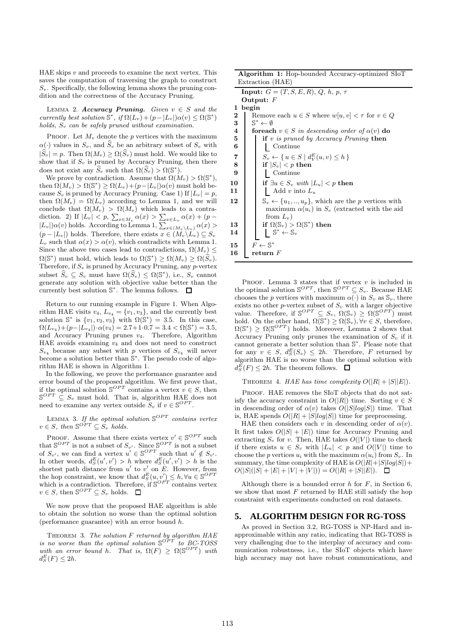HAE skips  $v$  and proceeds to examine the next vertex. This saves the computation of traversing the graph to construct  $S_v$ . Specifically, the following lemma shows the pruning condition and the correctness of the Accuracy Pruning.

LEMMA 2.  $Accuracy \; Pruning. \; Given \; v \in S \; and \; the$ *currently best solution*  $\mathbb{S}^*$ , *if*  $\Omega(L_v) + (p - |L_v|) \alpha(v) \leq \Omega(\mathbb{S}^*)$ *holds,*  $S_v$  *can be safely pruned without examination.* 

PROOF. Let  $M_v$  denote the p vertices with the maximum  $\alpha(\cdot)$  values in  $S_v$ , and  $\widehat{S}_v$  be an arbitrary subset of  $S_v$  with  $|\widehat{S}_v| = p$ . Then  $\Omega(M_v) \geq \Omega(\widehat{S}_v)$  must hold. We would like to show that if  $S_v$  is pruned by Accuracy Pruning, then there does not exist any  $\widehat{S}_v$  such that  $\Omega(\widehat{S}_v) > \Omega(\mathbb{S}^*)$ .

We prove by contradiction. Assume that  $\Omega(M_v) > \Omega(\mathbb{S}^*),$ then  $\Omega(M_v) > \Omega(\mathbb{S}^*) \geq \Omega(L_v) + (p - |L_v|)\alpha(v)$  must hold because  $S_v$  is pruned by Accuracy Pruning. Case 1) If  $|L_v| = p$ , then  $\Omega(M_v) = \Omega(L_v)$  according to Lemma 1, and we will conclude that  $\Omega(M_v) > \Omega(M_v)$  which leads to a contradiction. 2) If  $|L_v| < p$ ,  $\sum_{x \in M_v} \alpha(x) > \sum_{x \in L_v} \alpha(x) + (p - |L_v|) \alpha(v)$  holds. According to Lemma 1,  $\sum_{x \in (M_v \setminus L_v)} \alpha(x) >$  $(p - |L_v|)$  holds. Therefore, there exists  $x \in (M_v \backslash L_v) \subseteq S_v$  $L_v$  such that  $\alpha(x) > \alpha(v)$ , which contradicts with Lemma 1. Since the above two cases lead to contradictions,  $\Omega(M_v) \leq$  $\Omega(\mathbb{S}^*)$  must hold, which leads to  $\Omega(\mathbb{S}^*) \geq \Omega(M_v) \geq \Omega(\widehat{S}_v)$ . Therefore, if  $S_v$  is pruned by Accuracy Pruning, any p-vertex subset  $\widehat{S}_v \subseteq S_v$  must have  $\Omega(\widehat{S}_v) \leq \Omega(\mathbb{S}^*)$ , i.e.,  $S_v$  cannot generate any solution with objective value better than the currently best solution S ∗ . The lemma follows.

Return to our running example in Figure 1. When Algorithm HAE visits  $v_4$ ,  $L_{v_4} = \{v_1, v_3\}$ , and the currently best solution  $\mathbb{S}^*$  is  $\{v_1, v_2, v_3\}$  with  $\Omega(\mathbb{S}^*) = 3.5$ . In this case,  $\Omega(L_{v_4}) + (p - |\tilde{L}_{v_4}|) \cdot \alpha(v_4) = 2.7 + 1 \cdot 0.7 = 3.4 < \Omega(\mathbb{S}^*) = 3.5,$ and Accuracy Pruning prunes  $v_4$ . Therefore, Algorithm HAE avoids examining  $v_4$  and does not need to construct  $S_{v_4}$  because any subset with p vertices of  $S_{v_4}$  will never become a solution better than  $\mathbb{S}^*$ . The pseudo code of algorithm HAE is shown in Algorithm 1.

In the following, we prove the performance guarantee and error bound of the proposed algorithm. We first prove that, if the optimal solution  $\mathbb{S}^{OPT}$  contains a vertex  $v \in S$ , then  $\mathbb{S}^{OPT} \subseteq S_v$  must hold. That is, algorithm HAE does not need to examine any vertex outside  $S_v$  if  $v \in \mathbb{S}^{OPT}$ .

LEMMA 3. If the optimal solution  $\mathbb{S}^{OPT}$  contains vertex  $v \in S$ , then  $\mathbb{S}^{OPT} \subseteq S_v$  holds.

PROOF. Assume that there exists vertex  $v' \in \mathbb{S}^{OPT}$  such that  $\mathbb{S}^{OPT}$  is not a subset of  $S_{v'}$ . Since  $\mathbb{S}^{OPT}$  is not a subset of  $S_{v'}$ , we can find a vertex  $u' \in \mathbb{S}^{OPT}$  such that  $u' \notin S_{v'}$ . In other words,  $d_S^E(u', v') > h$  where  $d_S^E(u', v') > h$  is the shortest path distance from  $u'$  to  $v'$  on  $E$ . However, from the hop constraint, we know that  $d_S^E(u, v') \leq h, \forall u \in \mathbb{S}^{OPT}$ which is a contradiction. Therefore, if  $\mathbb{S}^{OPT}$  contains vertex  $v \in S$ , then  $\mathbb{S}^{OPT} \subseteq S_v$  holds.

We now prove that the proposed HAE algorithm is able to obtain the solution no worse than the optimal solution (performance guarantee) with an error bound h.

Theorem 3. *The solution* F *returned by algorithm HAE is no worse than the optimal solution*  $\mathbb{S}^{OPT}$  *to BC-TOSS with an error bound h*. That is,  $\Omega(F) \geq \Omega(\mathbb{S}^{OPT})$  *with*  $d_S^E(F) \leq 2h$ .

|                  |  | <b>Algorithm 1:</b> Hop-bounded Accuracy-optimized SIoT |  |
|------------------|--|---------------------------------------------------------|--|
| Extraction (HAE) |  |                                                         |  |

|                  | $\text{m}{\mathbf{u}}$                                                         |
|------------------|--------------------------------------------------------------------------------|
|                  | <b>Input:</b> $G = (T, S, E, R), Q, h, p, \tau$                                |
|                  | Output: $F$                                                                    |
| ı                | begin                                                                          |
| $\boldsymbol{2}$ | Remove each $u \in S$ where $w[u, v] < \tau$ for $v \in Q$                     |
| 3                | $\mathbb{S}^* \leftarrow \emptyset$                                            |
| $\boldsymbol{4}$ | for each $v \in S$ in descending order of $\alpha(v)$ do                       |
| 5                | if v is pruned by Accuracy Pruning then                                        |
| 6                | Continue                                                                       |
| 7                | $S_v \leftarrow \{ u \in S \mid d_V^E(u, v) \leq h \}$                         |
| 8                | if $ S_v  < p$ then                                                            |
| 9                | Continue                                                                       |
|                  |                                                                                |
| 10               | if $\exists u \in S_v$ with $ L_u  < p$ then                                   |
| 11               | Add v into $L_u$                                                               |
| 12               | $\mathbb{S}_v \leftarrow \{u_1, \ldots, u_p\}$ , which are the p vertices with |
|                  | maximum $\alpha(u_i)$ in $S_v$ (extracted with the aid                         |
|                  | from $L_v$ )                                                                   |
| 13               | if $\Omega(\mathbb{S}_v) > \Omega(\mathbb{S}^*)$ then                          |
| 14               | $\mathbb{S}^* \leftarrow \mathbb{S}_v$                                         |
|                  |                                                                                |
| 15               | $F \leftarrow \mathbb{S}^*$                                                    |
| 16               | $return \ F$                                                                   |
|                  |                                                                                |

PROOF. Lemma 3 states that if vertex  $v$  is included in the optimal solution  $\mathbb{S}^{OPT}$ , then  $\mathbb{S}^{OPT} \subseteq S_v$ . Because HAE chooses the p vertices with maximum  $\alpha(\cdot)$  in  $S_v$  as  $\mathbb{S}_v$ , there exists no other *p*-vertex subset of  $S_v$  with a larger objective value. Therefore, if  $\mathbb{S}^{OPT} \subseteq S_v$ ,  $\Omega(\mathbb{S}_v) \geq \Omega(\mathbb{S}^{OPT})$  must hold. On the other hand,  $\Omega(\mathbb{S}^*) \geq \Omega(\mathbb{S}_v), \forall v \in S$ , therefore,  $\Omega(\mathbb{S}^*) \geq \Omega(\mathbb{S}^{OPT})$  holds. Moreover, Lemma 2 shows that Accuracy Pruning only prunes the examination of  $S_v$  if it cannot generate a better solution than S<sup>\*</sup>. Please note that for any  $v \in S$ ,  $d_S^E(S_v) \leq 2h$ . Therefore, F returned by algorithm HAE is no worse than the optimal solution with  $d_S^E(F) \leq 2h$ . The theorem follows.

THEOREM 4. *HAE has time complexity*  $O(|R| + |S||E|)$ .

PROOF. HAE removes the SIoT objects that do not satisfy the accuracy constraint in  $O(|R|)$  time. Sorting  $v \in S$ in descending order of  $\alpha(v)$  takes  $O(|S|log|S|)$  time. That is, HAE spends  $O(|R| + |S|log|S|)$  time for preprocessing.

HAE then considers each v in descending order of  $\alpha(v)$ . It first takes  $O(|S| + |E|)$  time for Accuracy Pruning and extracting  $S_v$  for v. Then, HAE takes  $O(|V|)$  time to check if there exists  $u \in S_v$  with  $|L_u| < p$  and  $O(|V|)$  time to choose the p vertices  $u_i$  with the maximum  $\alpha(u_i)$  from  $S_v$ . In summary, the time complexity of HAE is  $O(|R|+|S|log|S|)$  +  $O(|S|(|S| + |E| + |V| + |V|)) = O(|R| + |S||E|).$ 

Although there is a bounded error  $h$  for  $F$ , in Section 6, we show that most  $F$  returned by HAE still satisfy the hop constraint with experiments conducted on real datasets.

## **5. ALGORITHM DESIGN FOR RG-TOSS**

As proved in Section 3.2, RG-TOSS is NP-Hard and inapproximable within any ratio, indicating that RG-TOSS is very challenging due to the interplay of accuracy and communication robustness, i.e., the SIoT objects which have high accuracy may not have robust communications, and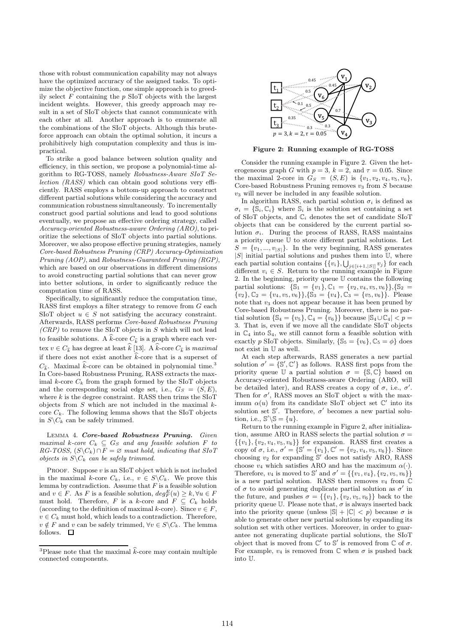those with robust communication capability may not always have the optimized accuracy of the assigned tasks. To optimize the objective function, one simple approach is to greedily select  $F$  containing the  $p$  SIoT objects with the largest incident weights. However, this greedy approach may result in a set of SIoT objects that cannot communicate with each other at all. Another approach is to enumerate all the combinations of the SIoT objects. Although this bruteforce approach can obtain the optimal solution, it incurs a prohibitively high computation complexity and thus is impractical.

To strike a good balance between solution quality and efficiency, in this section, we propose a polynomial-time algorithm to RG-TOSS, namely *Robustness-Aware SIoT Selection (RASS)* which can obtain good solutions very efficiently. RASS employs a bottom-up approach to construct different partial solutions while considering the accuracy and communication robustness simultaneously. To incrementally construct good partial solutions and lead to good solutions eventually, we propose an effective ordering strategy, called *Accuracy-oriented Robustness-aware Ordering (ARO)*, to prioritize the selections of SIoT objects into partial solutions. Moreover, we also propose effective pruning strategies, namely *Core-based Robustness Pruning (CRP) Accuracy-Optimization Pruning (AOP)*, and *Robustness-Guaranteed Pruning (RGP)*, which are based on our observations in different dimensions to avoid constructing partial solutions that can never grow into better solutions, in order to significantly reduce the computation time of RASS.

Specifically, to significantly reduce the computation time, RASS first employs a filter strategy to remove from G each SIoT object  $u \in S$  not satisfying the accuracy constraint. Afterwards, RASS performs *Core-based Robustness Pruning (CRP)* to remove the SIoT objects in S which will not lead to feasible solutions. A  $\hat{k}$ -core  $C_{\hat{k}}$  is a graph where each vertex  $v \in C_{\widehat{k}}$  has degree at least  $\widehat{k}$  [13]. A  $\widehat{k}$ -core  $C_{\widehat{k}}$  is *maximal* if there does not exist another  $\hat{k}$ -core that is a superset of  $C_{\hat{\imath}}$ . Maximal  $\hat{k}$ -core can be obtained in polynomial time.<sup>3</sup> In Core-based Robustness Pruning, RASS extracts the maximal k-core  $C_k$  from the graph formed by the SIoT objects and the corresponding social edge set, i.e.,  $G_S = (S, E)$ , where  $k$  is the degree constraint. RASS then trims the SIoT objects from  $S$  which are not included in the maximal  $k$ core  $C_k$ . The following lemma shows that the SIoT objects in  $S \backslash C_k$  can be safely trimmed.

Lemma 4. Core-based Robustness Pruning. *Given maximal*  $k\text{-core } C_k \subseteq G_S$  *and any feasible solution*  $F$  *to RG-TOSS,*  $(S\ C_k) \cap F = \emptyset$  *must hold, indicating that SIoT objects in*  $S \ C_k$  *can be safely trimmed.* 

PROOF. Suppose  $v$  is an SIoT object which is not included in the maximal k-core  $C_k$ , i.e.,  $v \in S \backslash C_k$ . We prove this lemma by contradiction. Assume that  $F$  is a feasible solution and  $v \in F$ . As F is a feasible solution,  $deg_F^E(u) \geq k, \forall u \in F$ must hold. Therefore, F is a k-core and  $F \subseteq C_k$  holds (according to the definition of maximal k-core). Since  $v \in F$ ,  $v \in C_k$  must hold, which leads to a contradiction. Therefore,  $v \notin F$  and v can be safely trimmed,  $\forall v \in S \backslash C_k$ . The lemma follows.  $\square$ 



Figure 2: Running example of RG-TOSS

Consider the running example in Figure 2. Given the heterogeneous graph G with  $p = 3$ ,  $k = 2$ , and  $\tau = 0.05$ . Since the maximal 2-core in  $G_S = (S, E)$  is  $\{v_1, v_2, v_4, v_5, v_6\},\$ Core-based Robustness Pruning removes  $v_3$  from  $S$  because  $v_3$  will never be included in any feasible solution.

In algorithm RASS, each partial solution  $\sigma_i$  is defined as  $\sigma_i = \{\mathbb{S}_i, \mathbb{C}_i\}$  where  $\mathbb{S}_i$  is the solution set containing a set of SIoT objects, and  $\mathbb{C}_i$  denotes the set of candidate SIoT objects that can be considered by the current partial solution  $\sigma_i$ . During the process of RASS, RASS maintains a priority queue U to store different partial solutions. Let  $S = \{v_1, ..., v_{|S|}\}.$  In the very beginning, RASS generates  $|S|$  initial partial solutions and pushes them into  $\mathbb{U}$ , where each partial solution contains  $\{v_i\}, \bigcup_{j \in [i+1, |S|]} v_j\}$  for each different  $v_i \in S$ . Return to the running example in Figure 2. In the beginning, priority queue U contains the following partial solutions:  $\{\mathbb{S}_1 = \{v_1\}, \mathbb{C}_1 = \{v_2, v_4, v_5, v_6\}\}, \{\mathbb{S}_2 =$  $\{v_2\}, \mathbb{C}_2 = \{v_4, v_5, v_6\}, \{\mathbb{S}_3 = \{v_4\}, \mathbb{C}_3 = \{v_5, v_6\}\}.$  Please note that  $v_3$  does not appear because it has been pruned by Core-based Robustness Pruning. Moreover, there is no partial solution  $\{\mathbb{S}_4 = \{v_5\}, \mathbb{C}_4 = \{v_6\}\}\$ because  $|\mathbb{S}_4 \cup \mathbb{C}_4| < p =$ 3. That is, even if we move all the candidate SIoT objects in  $\mathbb{C}_4$  into  $\mathbb{S}_4$ , we still cannot form a feasible solution with exactly p SIoT objects. Similarly,  $\{\mathbb{S}_5 = \{v_6\}, \mathbb{C}_5 = \phi\}$  does not exist in U as well.

At each step afterwards, RASS generates a new partial solution  $\sigma' = \{ \mathbb{S}', \mathbb{C}' \}$  as follows. RASS first pops from the priority queue U a partial solution  $\sigma = \{\mathbb{S}, \mathbb{C}\}\$ based on Accuracy-oriented Robustness-aware Ordering (ARO, will be detailed later), and RASS creates a copy of  $\sigma$ , i.e.,  $\sigma'$ . Then for  $\sigma'$ , RASS moves an SIoT object u with the maximum  $\alpha(u)$  from its candidate SIoT object set  $\mathbb{C}'$  into its solution set  $\mathbb{S}'$ . Therefore,  $\sigma'$  becomes a new partial solution, i.e.,  $\mathbb{S}'\backslash \mathbb{S} = \{u\}.$ 

Return to the running example in Figure 2, after initialization, assume ARO in RASS selects the partial solution  $\sigma =$  $\{\{v_1\}, \{v_2, v_4, v_5, v_6\}\}\$ for expansion. RASS first creates a copy of  $\sigma$ , i.e.,  $\sigma' = {\mathcal{S}' = \{v_1\}, \mathbb{C}' = \{v_2, v_4, v_5, v_6\}}$ . Since choosing  $v_2$  for expanding  $\mathbb{S}'$  does not satisfy ARO, RASS choose  $v_4$  which satisfies ARO and has the maximum  $\alpha(\cdot)$ . Therefore,  $v_4$  is moved to S' and  $\sigma' = \{\{v_1, v_4\}, \{v_2, v_5, v_6\}\}\$ is a new partial solution. RASS then removes  $v_4$  from  $\mathbb C$ of  $\sigma$  to avoid generating duplicate partial solution as  $\sigma'$  in the future, and pushes  $\sigma = \{\{v_1\}, \{v_2, v_5, v_6\}\}\)$  back to the priority queue U. Please note that,  $\sigma$  is always inserted back into the priority queue (unless  $|\mathbb{S}| + |\mathbb{C}| < p$ ) because  $\sigma$  is able to generate other new partial solutions by expanding its solution set with other vertices. Moreover, in order to guarantee not generating duplicate partial solutions, the SIoT object that is moved from  $\mathbb{C}'$  to  $\mathbb{S}'$  is removed from  $\mathbb C$  of  $\sigma$ . For example,  $v_4$  is removed from  $\mathbb C$  when  $\sigma$  is pushed back into U.

<sup>&</sup>lt;sup>3</sup>Please note that the maximal  $\hat{k}$ -core may contain multiple connected components.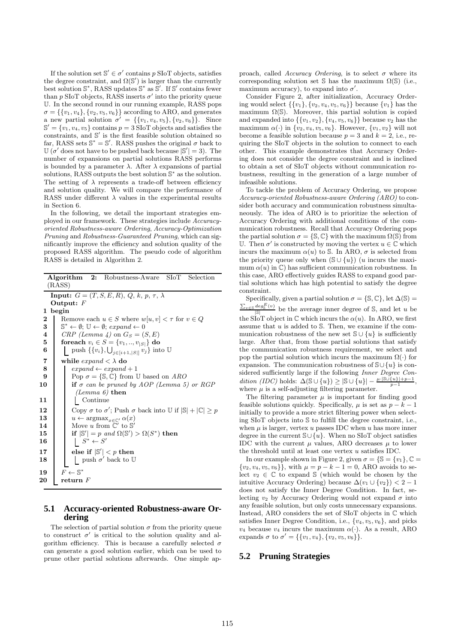If the solution set  $\mathbb{S}' \in \sigma'$  contains p SIoT objects, satisfies the degree constraint, and  $\Omega(\mathbb{S}')$  is larger than the currently best solution S<sup>\*</sup>, RASS updates S<sup>\*</sup> as S<sup>'</sup>. If S' contains fewer than  $p$  SIoT objects, RASS inserts  $\sigma'$  into the priority queue U. In the second round in our running example, RASS pops  $\sigma = \{\{v_1, v_4\}, \{v_2, v_5, v_6\}\}\$  according to ARO, and generates a new partial solution  $\sigma' = \{\{v_1, v_4, v_5\}, \{v_2, v_6\}\}\.$  Since  $\mathbb{S}' = \{v_1, v_4, v_5\}$  contains  $p = 3$  SIoT objects and satisfies the constraints, and  $\mathbb{S}'$  is the first feasible solution obtained so far, RASS sets  $\mathbb{S}^* = \mathbb{S}'$ . RASS pushes the original  $\sigma$  back to  $\mathbb{U}(\sigma'$  does not have to be pushed back because  $|\mathbb{S}'|=3$ . The number of expansions on partial solutions RASS performs is bounded by a parameter  $\lambda$ . After  $\lambda$  expansions of partial solutions, RASS outputs the best solution  $\mathbb{S}^*$  as the solution. The setting of  $\lambda$  represents a trade-off between efficiency and solution quality. We will compare the performance of RASS under different  $\lambda$  values in the experimental results in Section 6.

In the following, we detail the important strategies employed in our framework. These strategies include *Accuracyoriented Robustness-aware Ordering*, *Accuracy-Optimization Pruning* and *Robustness-Guaranteed Pruning*, which can significantly improve the efficiency and solution quality of the proposed RASS algorithm. The pseudo code of algorithm RASS is detailed in Algorithm 2.

|    | <b>Algorithm 2:</b> Robustness-Aware SIoT Selection<br>(RASS)                                   |
|----|-------------------------------------------------------------------------------------------------|
|    | Input: $G = (T, S, E, R), Q, k, p, \tau, \lambda$                                               |
|    | Output: $F$                                                                                     |
| 1  | begin                                                                                           |
| 2  | Remove each $u \in S$ where $w[u, v] < \tau$ for $v \in Q$                                      |
| 3  | $\mathbb{S}^* \leftarrow \emptyset$ ; $\mathbb{U} \leftarrow \emptyset$ ; expand $\leftarrow 0$ |
| 4  | $CRP$ (Lemma 4) on $G_S = (S, E)$                                                               |
| 5  | for each $v_i \in S = \{v_1, , v_{ S }\}\)$ do                                                  |
| 6  | push $\{\{v_i\},\bigcup_{j\in[i+1, S ]}v_j\}$ into U                                            |
| 7  | while $\textit{expand} < \lambda$ do                                                            |
| 8  | $expand \leftarrow expand + 1$                                                                  |
| 9  | Pop $\sigma = \{\mathbb{S}, \mathbb{C}\}\$ from U based on ARO                                  |
| 10 | if $\sigma$ can be pruned by AOP (Lemma 5) or RGP                                               |
|    | (Lemma 6) then                                                                                  |
| 11 | Continue                                                                                        |
| 12 | Copy $\sigma$ to $\sigma'$ ; Push $\sigma$ back into U if $ \mathbb{S}  +  \mathbb{C}  \geq p$  |
| 13 | $u \leftarrow \operatorname{argmax}_{x \in \mathbb{C}'} \alpha(x)$                              |
| 14 | Move u from $\mathbb{C}'$ to $\mathbb{S}'$                                                      |
| 15 | if $ \mathbb{S}'  = p$ and $\Omega(\mathbb{S}') > \Omega(S^*)$ then                             |
| 16 | $S^* \leftarrow S'$                                                                             |
| 17 | else if $ \mathbb{S}' $ < p then                                                                |
| 18 | push $\sigma'$ back to U                                                                        |
| 19 | $F \leftarrow \mathbb{S}^*$                                                                     |
|    | ${\bf return}\,\,F$                                                                             |
| 20 |                                                                                                 |

#### **5.1 Accuracy-oriented Robustness-aware Ordering**

The selection of partial solution  $\sigma$  from the priority queue to construct  $\sigma'$  is critical to the solution quality and algorithm efficiency. This is because a carefully selected  $\sigma$ can generate a good solution earlier, which can be used to prune other partial solutions afterwards. One simple approach, called *Accuracy Ordering*, is to select  $\sigma$  where its corresponding solution set  $\mathcal S$  has the maximum  $\Omega(\mathcal S)$  (i.e., maximum accuracy), to expand into  $\sigma'$ .

Consider Figure 2, after initialization, Accuracy Ordering would select  $\{\{v_1\}, \{v_2, v_4, v_5, v_6\}\}\$  because  $\{v_1\}$  has the maximum  $\Omega(\mathbb{S})$ . Moreover, this partial solution is copied and expanded into  $\{\{v_1, v_2\}, \{v_4, v_5, v_6\}\}\)$  because  $v_2$  has the maximum  $\alpha(\cdot)$  in  $\{v_2, v_4, v_5, v_6\}$ . However,  $\{v_1, v_2\}$  will not become a feasible solution because  $p = 3$  and  $k = 2$ , i.e., requiring the SIoT objects in the solution to connect to each other. This example demonstrates that Accuracy Ordering does not consider the degree constraint and is inclined to obtain a set of SIoT objects without communication robustness, resulting in the generation of a large number of infeasible solutions.

To tackle the problem of Accuracy Ordering, we propose *Accuracy-oriented Robustness-aware Ordering (ARO)* to consider both accuracy and communication robustness simultaneously. The idea of ARO is to prioritize the selection of Accuracy Ordering with additional conditions of the communication robustness. Recall that Accuracy Ordering pops the partial solution  $\sigma = \{\mathbb{S}, \mathbb{C}\}\$  with the maximum  $\Omega(\mathbb{S})$  from U. Then  $\sigma'$  is constructed by moving the vertex  $u \in \mathbb{C}$  which incurs the maximum  $\alpha(u)$  to S. In ARO,  $\sigma$  is selected from the priority queue only when  $(\mathbb{S} \cup \{u\})$  (u incurs the maximum  $\alpha(u)$  in  $\mathbb{C}$ ) has sufficient communication robustness. In this case, ARO effectively guides RASS to expand good partial solutions which has high potential to satisfy the degree constraint.

Specifically, given a partial solution  $\sigma = \{\mathbb{S}, \mathbb{C}\},$  let  $\Delta(\mathbb{S}) =$  $\frac{\sum_{v \in S} deg_S^E(v)}{|S|}$  be the average inner degree of S, and let u be the SI<sub>o</sub>T object in  $\mathbb C$  which incurs the  $\alpha(u)$ . In ARO, we first assume that  $u$  is added to  $S$ . Then, we examine if the communication robustness of the new set  $\mathcal{S} \cup \{u\}$  is sufficiently large. After that, from those partial solutions that satisfy the communication robustness requirement, we select and pop the partial solution which incurs the maximum  $\Omega(\cdot)$  for expansion. The communication robustness of  $\mathbb{S}\cup\{u\}$  is considered sufficiently large if the following *Inner Degree Con*dition (IDC) holds:  $\Delta(\mathbb{S} \cup \{u\}) \geq |\mathbb{S} \cup \{u\}| - \frac{\mu \cdot |\mathbb{S} \cup \{u\}| + p - 1}{n-1},$  $p-1$ where  $\mu$  is a self-adjusting filtering parameter.

The filtering parameter  $\mu$  is important for finding good feasible solutions quickly. Specifically,  $\mu$  is set as  $p - k - 1$ initially to provide a more strict filtering power when selecting SIoT objects into S to fulfill the degree constraint, i.e., when  $\mu$  is larger, vertex  $u$  passes IDC when  $u$  has more inner degree in the current  $\mathbb{S}\cup\{u\}$ . When no SIoT object satisfies IDC with the current  $\mu$  values, ARO decreases  $\mu$  to lower the threshold until at least one vertex u satisfies IDC.

In our example shown in Figure 2, given  $\sigma = \{\mathbb{S} = \{v_1\}, \mathbb{C} =$  $\{v_2, v_4, v_5, v_6\}$ , with  $\mu = p - k - 1 = 0$ , ARO avoids to select  $v_2 \in \mathbb{C}$  to expand S (which would be chosen by the intuitive Accuracy Ordering) because  $\Delta(v_1 \cup \{v_2\}) < 2 - 1$ does not satisfy the Inner Degree Condition. In fact, selecting  $v_2$  by Accuracy Ordering would not expand  $\sigma$  into any feasible solution, but only costs unnecessary expansions. Instead, ARO considers the set of SIoT objects in C which satisfies Inner Degree Condition, i.e.,  $\{v_4, v_5, v_6\}$ , and picks  $v_4$  because  $v_4$  incurs the maximum  $\alpha(\cdot)$ . As a result, ARO expands  $\sigma$  to  $\sigma' = \{\{v_1, v_4\}, \{v_2, v_5, v_6\}\}.$ 

## **5.2 Pruning Strategies**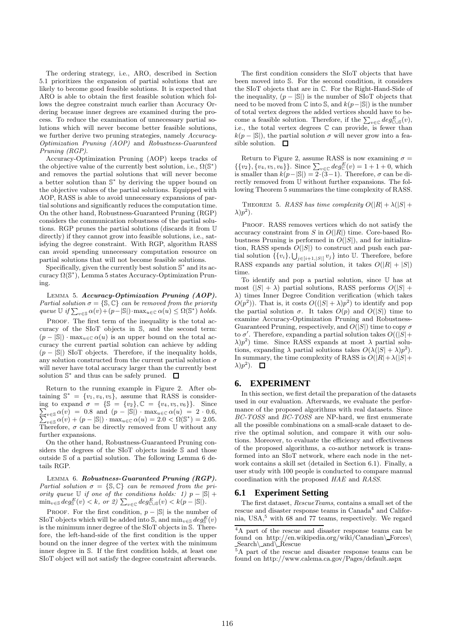The ordering strategy, i.e., ARO, described in Section 5.1 prioritizes the expansion of partial solutions that are likely to become good feasible solutions. It is expected that ARO is able to obtain the first feasible solution which follows the degree constraint much earlier than Accuracy Ordering because inner degrees are examined during the process. To reduce the examination of unnecessary partial solutions which will never become better feasible solutions, we further derive two pruning strategies, namely *Accuracy-Optimization Pruning (AOP)* and *Robustness-Guaranteed Pruning (RGP)*.

Accuracy-Optimization Pruning (AOP) keeps tracks of the objective value of the currently best solution, i.e.,  $\Omega(\mathbb{S}^*)$ and removes the partial solutions that will never become a better solution than S<sup>\*</sup> by deriving the upper bound on the objective values of the partial solutions. Equipped with AOP, RASS is able to avoid unnecessary expansions of partial solutions and significantly reduces the computation time. On the other hand, Robustness-Guaranteed Pruning (RGP) considers the communication robustness of the partial solutions. RGP prunes the partial solutions (discards it from U directly) if they cannot grow into feasible solutions, i.e., satisfying the degree constraint. With RGP, algorithm RASS can avoid spending unnecessary computation resource on partial solutions that will not become feasible solutions.

Specifically, given the currently best solution  $\mathbb{S}^*$  and its accuracy Ω(S ∗ ), Lemma 5 states Accuracy-Optimization Pruning.

LEMMA 5. Accuracy-Optimization Pruning (AOP). *Partial solution*  $\sigma = \{S, \mathbb{C}\}$  *can be removed from the priority queue*  $\mathbb{U}$  *if*  $\sum_{v \in \mathbb{S}} \alpha(v) + (p - |\mathbb{S}|) \cdot \max_{u \in \mathbb{C}} \alpha(u) \leq \Omega(\mathbb{S}^*)$  *holds.* 

PROOF. The first term of the inequality is the total accuracy of the SIoT objects in S, and the second term:  $(p - |\mathbb{S}|) \cdot \max_{u \in \mathbb{C}} \alpha(u)$  is an upper bound on the total accuracy the current partial solution can achieve by adding  $(p - |\mathbb{S}|)$  SIoT objects. Therefore, if the inequality holds, any solution constructed from the current partial solution  $\sigma$ will never have total accuracy larger than the currently best solution  $\mathbb{S}^*$  and thus can be safely pruned.

Return to the running example in Figure 2. After obtaining  $\mathbb{S}^* = \{v_1, v_4, v_5\}$ , assume that RASS is consider- $\sum_{v \in S} \alpha(v) = 0.8$  and  $(p - |S|) \cdot \max_{u \in C} \alpha(u) = 2 \cdot 0.6,$ <br> $\sum_{v \in S} \alpha(v) + (n - |S|) \cdot \max_{v \in C} \alpha(u) - 2.0 < 0.05^* - 2.05$ ing to expand  $\sigma = \{\mathbb{S} = \{v_2\}, \mathbb{C} = \{v_4, v_5, v_6\}\}.$  Since  $v \in S \alpha(v) + (p - |\mathbb{S}|) \cdot \max_{u \in \mathbb{C}} \alpha(u) = 2.0 < \Omega(\mathbb{S}^*) = 2.05.$ Therefore,  $\sigma$  can be directly removed from  $\mathbb U$  without any further expansions.

On the other hand, Robustness-Guaranteed Pruning considers the degrees of the SIoT objects inside S and those outside S of a partial solution. The following Lemma 6 details RGP.

LEMMA 6. Robustness-Guaranteed Pruning (RGP). *Partial solution*  $\sigma = \{S, \mathbb{C}\}\$  *can be removed from the priority queue*  $\mathbb{U}$  *if one of the conditions holds:* 1)  $p - |\mathbb{S}| +$  $\min_{v \in \mathbb{S}} deg^E_{\mathbb{S}}(v) < k, \text{ or } 2)$   $\sum_{v \in \mathbb{C}} deg^E_{\mathbb{C} \cup \mathbb{S}}(v) < k(p - |\mathbb{S}|)$ .

PROOF. For the first condition,  $p - |S|$  is the number of SIoT objects which will be added into S, and  $\min_{v \in \mathbb{S}} deg^E_{\mathbb{S}}(v)$ is the minimum inner degree of the SIoT objects in S. Therefore, the left-hand-side of the first condition is the upper bound on the inner degree of the vertex with the minimum inner degree in S. If the first condition holds, at least one SIoT object will not satisfy the degree constraint afterwards.

The first condition considers the SIoT objects that have been moved into S. For the second condition, it considers the SIoT objects that are in C. For the Right-Hand-Side of the inequality,  $(p - |\mathbb{S}|)$  is the number of SIoT objects that need to be moved from  $\mathbb C$  into  $\mathbb S$ , and  $k(p-|\mathbb S|)$  is the number of total vertex degrees the added vertices should have to become a feasible solution. Therefore, if the  $\sum_{v \in \mathcal{C}} deg_{\text{CUS}}^E(v)$ , i.e., the total vertex degrees C can provide, is fewer than  $k(p - |\mathbb{S}|)$ , the partial solution  $\sigma$  will never grow into a feasible solution.  $\square$ 

Return to Figure 2, assume RASS is now examining  $\sigma =$  $\{\{v_2\}, \{v_4, v_5, v_6\}\}\$ . Since  $\sum_{v \in \mathbb{C}} deg_{\mathbb{C}}^E(v) = 1 + 1 + 0$ , which is smaller than  $k(p-|S|) = 2\cdot (3-1)$ . Therefore,  $\sigma$  can be directly removed from U without further expansions. The following Theorem 5 summarizes the time complexity of RASS.

THEOREM 5. *RASS has time complexity*  $O(|R| + \lambda(|S| + \lambda))$  $\lambda)p^2$ ).

PROOF. RASS removes vertices which do not satisfy the accuracy constraint from S in  $O(|R|)$  time. Core-based Robustness Pruning is performed in  $O(|S|)$ , and for initialization, RASS spends  $O(|S|)$  to construct and push each partial solution  $\{\{v_i\}, \bigcup_{j \in [i+1, |S|]} v_j\}$  into U. Therefore, before RASS expands any partial solution, it takes  $O(|R| + |S|)$ time.

To identify and pop a partial solution, since U has at most  $(|S| + \lambda)$  partial solutions, RASS performs  $O(|S| + \lambda)$ λ) times Inner Degree Condition verification (which takes  $O(p^2)$ ). That is, it costs  $O((|S| + \lambda)p^2)$  to identify and pop the partial solution  $\sigma$ . It takes  $O(p)$  and  $O(|S|)$  time to examine Accuracy-Optimization Pruning and Robustness-Guaranteed Pruning, respectively, and  $O(|S|)$  time to copy  $\sigma$ to  $\sigma'$ . Therefore, expanding a partial solution takes  $O(|S| + \sigma')$  $\lambda$ ) $p^2$ ) time. Since RASS expands at most  $\lambda$  partial solutions, expanding  $\lambda$  partial solutions takes  $O(\lambda(|S| + \lambda)p^2)$ . In summary, the time complexity of RASS is  $O(|R|+\lambda(|S|+\lambda))$  $\lambda)p^2$ ).

## **6. EXPERIMENT**

In this section, we first detail the preparation of the datasets used in our evaluation. Afterwards, we evaluate the performance of the proposed algorithms with real datasets. Since *BC-TOSS* and *BC-TOSS* are NP-hard, we first enumerate all the possible combinations on a small-scale dataset to derive the optimal solution, and compare it with our solutions. Moreover, to evaluate the efficiency and effectiveness of the proposed algorithms, a co-author network is transformed into an SIoT network, where each node in the network contains a skill set (detailed in Section 6.1). Finally, a user study with 100 people is conducted to compare manual coordination with the proposed *HAE* and *RASS*.

### **6.1 Experiment Setting**

The first dataset, *RescueTeams*, contains a small set of the rescue and disaster response teams in Canada<sup>4</sup> and California, USA,<sup>5</sup> with 68 and 77 teams, respectively. We regard

<sup>4</sup>A part of the rescue and disaster response teams can be found on http://en.wikipedia.org/wiki/Canadian\\_Forces\  $Search\ \and\ \R$ escue

 $5\text{A}$  part of the rescue and disaster response teams can be found on http://www.calema.ca.gov/Pages/default.aspx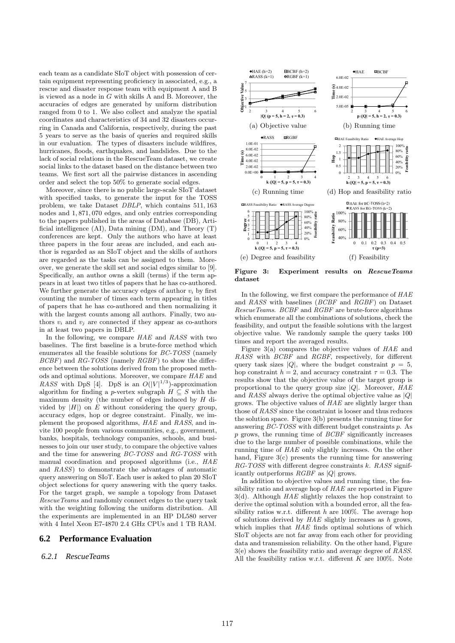each team as a candidate SIoT object with possession of certain equipment representing proficiency in associated, e.g., a rescue and disaster response team with equipment A and B is viewed as a node in G with skills A and B. Moreover, the accuracies of edges are generated by uniform distribution ranged from 0 to 1. We also collect and analyze the spatial coordinates and characteristics of 34 and 32 disasters occurring in Canada and California, respectively, during the past 5 years to serve as the basis of queries and required skills in our evaluation. The types of disasters include wildfires, hurricanes, floods, earthquakes, and landslides. Due to the lack of social relations in the RescueTeam dataset, we create social links to the dataset based on the distance between two teams. We first sort all the pairwise distances in ascending order and select the top 50% to generate social edges.

Moreover, since there is no public large-scale SIoT dataset with specified tasks, to generate the input for the TOSS problem, we take Dataset *DBLP*, which contains 511, 163 nodes and 1, 871, 070 edges, and only entries corresponding to the papers published in the areas of Database (DB), Artificial intelligence (AI), Data mining (DM), and Theory (T) conferences are kept. Only the authors who have at least three papers in the four areas are included, and each author is regarded as an SIoT object and the skills of authors are regarded as the tasks can be assigned to them. Moreover, we generate the skill set and social edges similar to [9]. Specifically, an author owns a skill (terms) if the term appears in at least two titles of papers that he has co-authored. We further generate the accuracy edges of author  $v_i$  by first counting the number of times each term appearing in titles of papers that he has co-authored and then normalizing it with the largest counts among all authors. Finally, two authors  $v_i$  and  $v_j$  are connected if they appear as co-authors in at least two papers in DBLP.

In the following, we compare *HAE* and *RASS* with two baselines. The first baseline is a brute-force method which enumerates all the feasible solutions for *BC-TOSS* (namely *BCBF*) and *RG-TOSS* (namely *RGBF*) to show the difference between the solutions derived from the proposed methods and optimal solutions. Moreover, we compare *HAE* and *RASS* with DpS [4]. DpS is an  $O(|V|^{1/3})$ -approximation algorithm for finding a p-vertex subgraph  $H \subseteq S$  with the maximum density (the number of edges induced by H divided by  $|H|$ ) on E without considering the query group, accuracy edges, hop or degree constraint. Finally, we implement the proposed algorithms, *HAE* and *RASS*, and invite 100 people from various communities, e.g., government, banks, hospitals, technology companies, schools, and businesses to join our user study, to compare the objective values and the time for answering *BC-TOSS* and *RG-TOSS* with manual coordination and proposed algorithms (i.e., *HAE* and *RASS*) to demonstrate the advantages of automatic query answering on SIoT. Each user is asked to plan 20 SIoT object selections for query answering with the query tasks. For the target graph, we sample a topology from Dataset *RescueTeams* and randomly connect edges to the query task with the weighting following the uniform distribution. All the experiments are implemented in an HP DL580 server with 4 Intel Xeon E7-4870 2.4 GHz CPUs and 1 TB RAM.

## **6.2 Performance Evaluation**

*6.2.1 RescueTeams*



Figure 3: Experiment results on RescueTeams dataset

In the following, we first compare the performance of *HAE* and *RASS* with baselines (*BCBF* and *RGBF*) on Dataset *RescueTeams*. *BCBF* and *RGBF* are brute-force algorithms which enumerate all the combinations of solutions, check the feasibility, and output the feasible solutions with the largest objective value. We randomly sample the query tasks 100 times and report the averaged results.

Figure 3(a) compares the objective values of *HAE* and *RASS* with *BCBF* and *RGBF*, respectively, for different query task sizes |Q|, where the budget constraint  $p = 5$ , hop constraint  $h = 2$ , and accuracy constraint  $\tau = 0.3$ . The results show that the objective value of the target group is proportional to the query group size |Q|. Moreover, *HAE* and *RASS* always derive the optimal objective value as |Q| grows. The objective values of *HAE* are slightly larger than those of *RASS* since the constraint is looser and thus reduces the solution space. Figure 3(b) presents the running time for answering *BC-TOSS* with different budget constraints p. As p grows, the running time of *BCBF* significantly increases due to the large number of possible combinations, while the running time of *HAE* only slightly increases. On the other hand, Figure 3(c) presents the running time for answering *RG-TOSS* with different degree constraints k. *RASS* significantly outperforms *RGBF* as |Q| grows.

In addition to objective values and running time, the feasibility ratio and average hop of *HAE* are reported in Figure 3(d). Although *HAE* slightly relaxes the hop constraint to derive the optimal solution with a bounded error, all the feasibility ratios w.r.t. different h are 100%. The average hop of solutions derived by *HAE* slightly increases as h grows, which implies that *HAE* finds optimal solutions of which SIoT objects are not far away from each other for providing data and transmission reliability. On the other hand, Figure 3(e) shows the feasibility ratio and average degree of *RASS*. All the feasibility ratios w.r.t. different  $K$  are 100%. Note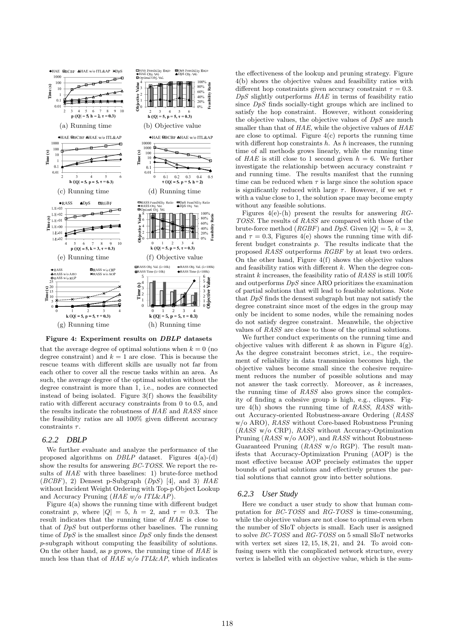

Figure 4: Experiment results on DBLP datasets

that the average degree of optimal solutions when  $k = 0$  (no degree constraint) and  $k = 1$  are close. This is because the rescue teams with different skills are usually not far from each other to cover all the rescue tasks within an area. As such, the average degree of the optimal solution without the degree constraint is more than 1, i.e., nodes are connected instead of being isolated. Figure 3(f) shows the feasibility ratio with different accuracy constraints from 0 to 0.5, and the results indicate the robustness of *HAE* and *RASS* since the feasibility ratios are all 100% given different accuracy constraints  $\tau$ .

#### *6.2.2 DBLP*

We further evaluate and analyze the performance of the proposed algorithms on *DBLP* dataset. Figures 4(a)-(d) show the results for answering *BC-TOSS*. We report the results of *HAE* with three baselines: 1) brute-force method (*BCBF*), 2) Densest p-Subgraph (*DpS*) [4], and 3) *HAE* without Incident Weight Ordering with Top-p Object Lookup and Accuracy Pruning (*HAE w/o ITL*&*AP*).

Figure 4(a) shows the running time with different budget constraint p, where  $|Q| = 5$ ,  $h = 2$ , and  $\tau = 0.3$ . The result indicates that the running time of *HAE* is close to that of *DpS* but outperforms other baselines. The running time of *DpS* is the smallest since *DpS* only finds the densest p-subgraph without computing the feasibility of solutions. On the other hand, as p grows, the running time of *HAE* is much less than that of *HAE w/o ITL*&*AP*, which indicates the effectiveness of the lookup and pruning strategy. Figure 4(b) shows the objective values and feasibility ratios with different hop constraints given accuracy constraint  $\tau = 0.3$ . *DpS* slightly outperforms *HAE* in terms of feasibility ratio since *DpS* finds socially-tight groups which are inclined to satisfy the hop constraint. However, without considering the objective values, the objective values of *DpS* are much smaller than that of *HAE*, while the objective values of *HAE* are close to optimal. Figure  $4(c)$  reports the running time with different hop constraints  $h$ . As  $h$  increases, the running time of all methods grows linearly, while the running time of  $HAE$  is still close to 1 second given  $h = 6$ . We further investigate the relationship between accuracy constraint  $\tau$ and running time. The results manifest that the running time can be reduced when  $\tau$  is large since the solution space is significantly reduced with large  $\tau$ . However, if we set  $\tau$ with a value close to 1, the solution space may become empty without any feasible solutions.

Figures 4(e)-(h) present the results for answering *RG-TOSS*. The results of *RASS* are compared with those of the brute-force method ( $RGBF$ ) and  $DpS$ . Given  $|Q| = 5$ ,  $k = 3$ , and  $\tau = 0.3$ , Figures 4(e) shows the running time with different budget constraints p. The results indicate that the proposed *RASS* outperforms *RGBF* by at least two orders. On the other hand, Figure 4(f) shows the objective values and feasibility ratios with different  $k$ . When the degree constraint k increases, the feasibility ratio of *RASS* is still 100% and outperforms *DpS* since ARO prioritizes the examination of partial solutions that will lead to feasible solutions. Note that *DpS* finds the densest subgraph but may not satisfy the degree constraint since most of the edges in the group may only be incident to some nodes, while the remaining nodes do not satisfy degree constraint. Meanwhile, the objective values of *RASS* are close to those of the optimal solutions.

We further conduct experiments on the running time and objective values with different k as shown in Figure  $4(g)$ . As the degree constraint becomes strict, i.e., the requirement of reliability in data transmission becomes high, the objective values become small since the cohesive requirement reduces the number of possible solutions and may not answer the task correctly. Moreover, as  $k$  increases, the running time of *RASS* also grows since the complexity of finding a cohesive group is high, e.g., cliques. Figure 4(h) shows the running time of *RASS*, *RASS* without Accuracy-oriented Robustness-aware Ordering (*RASS* w/o ARO), *RASS* without Core-based Robustness Pruning (*RASS* w/o CRP), *RASS* without Accuracy-Optimization Pruning (*RASS* w/o AOP), and *RASS* without Robustness-Guaranteed Pruning (*RASS* w/o RGP). The result manifests that Accuracy-Optimization Pruning (AOP) is the most effective because AOP precisely estimates the upper bounds of partial solutions and effectively prunes the partial solutions that cannot grow into better solutions.

#### *6.2.3 User Study*

Here we conduct a user study to show that human computation for *BC-TOSS* and *RG-TOSS* is time-consuming, while the objective values are not close to optimal even when the number of SIoT objects is small. Each user is assigned to solve *BC-TOSS* and *RG-TOSS* on 5 small SIoT networks with vertex set sizes 12, 15, 18, 21, and 24. To avoid confusing users with the complicated network structure, every vertex is labelled with an objective value, which is the sum-